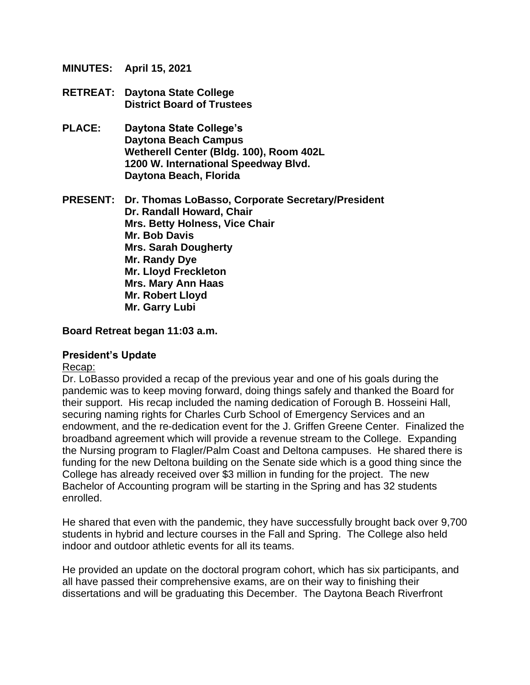- **MINUTES: April 15, 2021**
- **RETREAT: Daytona State College District Board of Trustees**
- **PLACE: Daytona State College's Daytona Beach Campus Wetherell Center (Bldg. 100), Room 402L 1200 W. International Speedway Blvd. Daytona Beach, Florida**

**PRESENT: Dr. Thomas LoBasso, Corporate Secretary/President Dr. Randall Howard, Chair Mrs. Betty Holness, Vice Chair Mr. Bob Davis Mrs. Sarah Dougherty Mr. Randy Dye Mr. Lloyd Freckleton Mrs. Mary Ann Haas Mr. Robert Lloyd Mr. Garry Lubi**

**Board Retreat began 11:03 a.m.**

## **President's Update**

#### Recap:

Dr. LoBasso provided a recap of the previous year and one of his goals during the pandemic was to keep moving forward, doing things safely and thanked the Board for their support. His recap included the naming dedication of Forough B. Hosseini Hall, securing naming rights for Charles Curb School of Emergency Services and an endowment, and the re-dedication event for the J. Griffen Greene Center. Finalized the broadband agreement which will provide a revenue stream to the College. Expanding the Nursing program to Flagler/Palm Coast and Deltona campuses. He shared there is funding for the new Deltona building on the Senate side which is a good thing since the College has already received over \$3 million in funding for the project. The new Bachelor of Accounting program will be starting in the Spring and has 32 students enrolled.

He shared that even with the pandemic, they have successfully brought back over 9,700 students in hybrid and lecture courses in the Fall and Spring. The College also held indoor and outdoor athletic events for all its teams.

He provided an update on the doctoral program cohort, which has six participants, and all have passed their comprehensive exams, are on their way to finishing their dissertations and will be graduating this December. The Daytona Beach Riverfront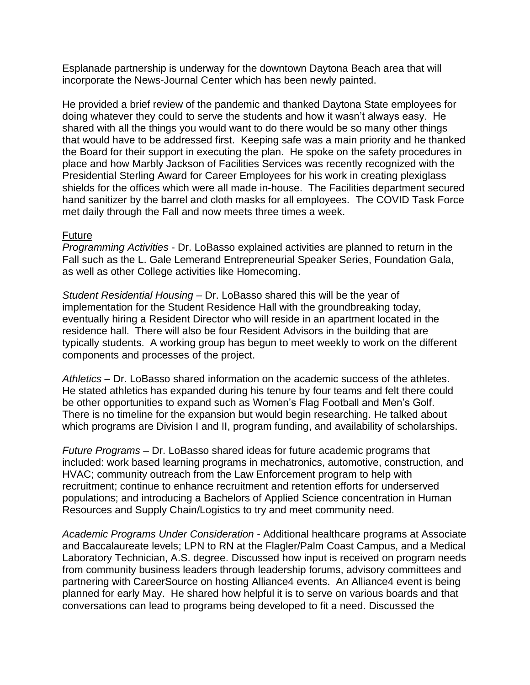Esplanade partnership is underway for the downtown Daytona Beach area that will incorporate the News-Journal Center which has been newly painted.

He provided a brief review of the pandemic and thanked Daytona State employees for doing whatever they could to serve the students and how it wasn't always easy. He shared with all the things you would want to do there would be so many other things that would have to be addressed first. Keeping safe was a main priority and he thanked the Board for their support in executing the plan. He spoke on the safety procedures in place and how Marbly Jackson of Facilities Services was recently recognized with the Presidential Sterling Award for Career Employees for his work in creating plexiglass shields for the offices which were all made in-house. The Facilities department secured hand sanitizer by the barrel and cloth masks for all employees. The COVID Task Force met daily through the Fall and now meets three times a week.

### Future

*Programming Activities* - Dr. LoBasso explained activities are planned to return in the Fall such as the L. Gale Lemerand Entrepreneurial Speaker Series, Foundation Gala, as well as other College activities like Homecoming.

*Student Residential Housing* – Dr. LoBasso shared this will be the year of implementation for the Student Residence Hall with the groundbreaking today, eventually hiring a Resident Director who will reside in an apartment located in the residence hall. There will also be four Resident Advisors in the building that are typically students. A working group has begun to meet weekly to work on the different components and processes of the project.

*Athletics* – Dr. LoBasso shared information on the academic success of the athletes. He stated athletics has expanded during his tenure by four teams and felt there could be other opportunities to expand such as Women's Flag Football and Men's Golf. There is no timeline for the expansion but would begin researching. He talked about which programs are Division I and II, program funding, and availability of scholarships.

*Future Programs* – Dr. LoBasso shared ideas for future academic programs that included: work based learning programs in mechatronics, automotive, construction, and HVAC; community outreach from the Law Enforcement program to help with recruitment; continue to enhance recruitment and retention efforts for underserved populations; and introducing a Bachelors of Applied Science concentration in Human Resources and Supply Chain/Logistics to try and meet community need.

*Academic Programs Under Consideration* - Additional healthcare programs at Associate and Baccalaureate levels; LPN to RN at the Flagler/Palm Coast Campus, and a Medical Laboratory Technician, A.S. degree. Discussed how input is received on program needs from community business leaders through leadership forums, advisory committees and partnering with CareerSource on hosting Alliance4 events. An Alliance4 event is being planned for early May. He shared how helpful it is to serve on various boards and that conversations can lead to programs being developed to fit a need. Discussed the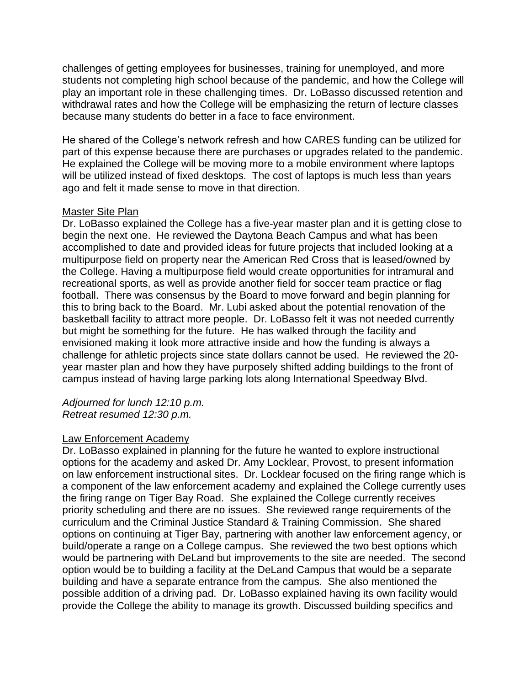challenges of getting employees for businesses, training for unemployed, and more students not completing high school because of the pandemic, and how the College will play an important role in these challenging times. Dr. LoBasso discussed retention and withdrawal rates and how the College will be emphasizing the return of lecture classes because many students do better in a face to face environment.

He shared of the College's network refresh and how CARES funding can be utilized for part of this expense because there are purchases or upgrades related to the pandemic. He explained the College will be moving more to a mobile environment where laptops will be utilized instead of fixed desktops. The cost of laptops is much less than years ago and felt it made sense to move in that direction.

### Master Site Plan

Dr. LoBasso explained the College has a five-year master plan and it is getting close to begin the next one. He reviewed the Daytona Beach Campus and what has been accomplished to date and provided ideas for future projects that included looking at a multipurpose field on property near the American Red Cross that is leased/owned by the College. Having a multipurpose field would create opportunities for intramural and recreational sports, as well as provide another field for soccer team practice or flag football. There was consensus by the Board to move forward and begin planning for this to bring back to the Board. Mr. Lubi asked about the potential renovation of the basketball facility to attract more people. Dr. LoBasso felt it was not needed currently but might be something for the future. He has walked through the facility and envisioned making it look more attractive inside and how the funding is always a challenge for athletic projects since state dollars cannot be used. He reviewed the 20 year master plan and how they have purposely shifted adding buildings to the front of campus instead of having large parking lots along International Speedway Blvd.

*Adjourned for lunch 12:10 p.m. Retreat resumed 12:30 p.m.*

## Law Enforcement Academy

Dr. LoBasso explained in planning for the future he wanted to explore instructional options for the academy and asked Dr. Amy Locklear, Provost, to present information on law enforcement instructional sites. Dr. Locklear focused on the firing range which is a component of the law enforcement academy and explained the College currently uses the firing range on Tiger Bay Road. She explained the College currently receives priority scheduling and there are no issues. She reviewed range requirements of the curriculum and the Criminal Justice Standard & Training Commission. She shared options on continuing at Tiger Bay, partnering with another law enforcement agency, or build/operate a range on a College campus. She reviewed the two best options which would be partnering with DeLand but improvements to the site are needed. The second option would be to building a facility at the DeLand Campus that would be a separate building and have a separate entrance from the campus. She also mentioned the possible addition of a driving pad. Dr. LoBasso explained having its own facility would provide the College the ability to manage its growth. Discussed building specifics and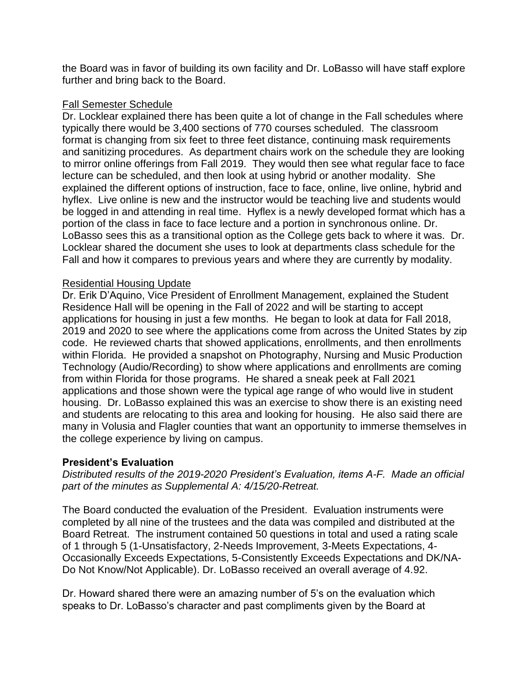the Board was in favor of building its own facility and Dr. LoBasso will have staff explore further and bring back to the Board.

# Fall Semester Schedule

Dr. Locklear explained there has been quite a lot of change in the Fall schedules where typically there would be 3,400 sections of 770 courses scheduled. The classroom format is changing from six feet to three feet distance, continuing mask requirements and sanitizing procedures. As department chairs work on the schedule they are looking to mirror online offerings from Fall 2019. They would then see what regular face to face lecture can be scheduled, and then look at using hybrid or another modality. She explained the different options of instruction, face to face, online, live online, hybrid and hyflex. Live online is new and the instructor would be teaching live and students would be logged in and attending in real time. Hyflex is a newly developed format which has a portion of the class in face to face lecture and a portion in synchronous online. Dr. LoBasso sees this as a transitional option as the College gets back to where it was. Dr. Locklear shared the document she uses to look at departments class schedule for the Fall and how it compares to previous years and where they are currently by modality.

## Residential Housing Update

Dr. Erik D'Aquino, Vice President of Enrollment Management, explained the Student Residence Hall will be opening in the Fall of 2022 and will be starting to accept applications for housing in just a few months. He began to look at data for Fall 2018, 2019 and 2020 to see where the applications come from across the United States by zip code. He reviewed charts that showed applications, enrollments, and then enrollments within Florida. He provided a snapshot on Photography, Nursing and Music Production Technology (Audio/Recording) to show where applications and enrollments are coming from within Florida for those programs. He shared a sneak peek at Fall 2021 applications and those shown were the typical age range of who would live in student housing. Dr. LoBasso explained this was an exercise to show there is an existing need and students are relocating to this area and looking for housing. He also said there are many in Volusia and Flagler counties that want an opportunity to immerse themselves in the college experience by living on campus.

## **President's Evaluation**

*Distributed results of the 2019-2020 President's Evaluation, items A-F. Made an official part of the minutes as Supplemental A: 4/15/20-Retreat.* 

The Board conducted the evaluation of the President. Evaluation instruments were completed by all nine of the trustees and the data was compiled and distributed at the Board Retreat. The instrument contained 50 questions in total and used a rating scale of 1 through 5 (1-Unsatisfactory, 2-Needs Improvement, 3-Meets Expectations, 4- Occasionally Exceeds Expectations, 5-Consistently Exceeds Expectations and DK/NA-Do Not Know/Not Applicable). Dr. LoBasso received an overall average of 4.92.

Dr. Howard shared there were an amazing number of 5's on the evaluation which speaks to Dr. LoBasso's character and past compliments given by the Board at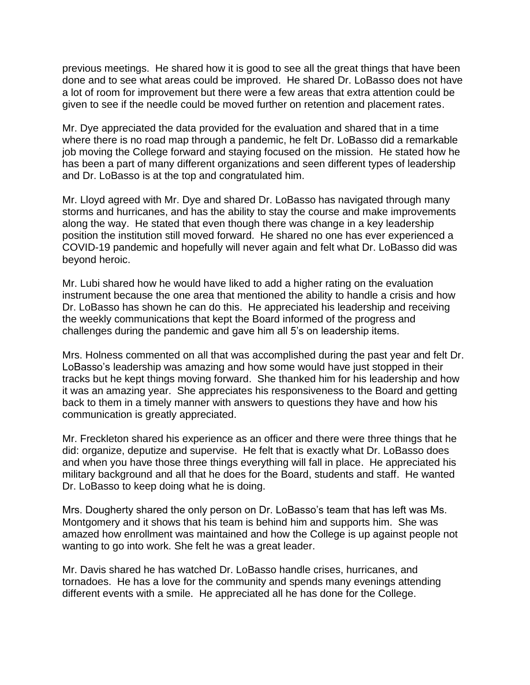previous meetings. He shared how it is good to see all the great things that have been done and to see what areas could be improved. He shared Dr. LoBasso does not have a lot of room for improvement but there were a few areas that extra attention could be given to see if the needle could be moved further on retention and placement rates.

Mr. Dye appreciated the data provided for the evaluation and shared that in a time where there is no road map through a pandemic, he felt Dr. LoBasso did a remarkable job moving the College forward and staying focused on the mission. He stated how he has been a part of many different organizations and seen different types of leadership and Dr. LoBasso is at the top and congratulated him.

Mr. Lloyd agreed with Mr. Dye and shared Dr. LoBasso has navigated through many storms and hurricanes, and has the ability to stay the course and make improvements along the way. He stated that even though there was change in a key leadership position the institution still moved forward. He shared no one has ever experienced a COVID-19 pandemic and hopefully will never again and felt what Dr. LoBasso did was beyond heroic.

Mr. Lubi shared how he would have liked to add a higher rating on the evaluation instrument because the one area that mentioned the ability to handle a crisis and how Dr. LoBasso has shown he can do this. He appreciated his leadership and receiving the weekly communications that kept the Board informed of the progress and challenges during the pandemic and gave him all 5's on leadership items.

Mrs. Holness commented on all that was accomplished during the past year and felt Dr. LoBasso's leadership was amazing and how some would have just stopped in their tracks but he kept things moving forward. She thanked him for his leadership and how it was an amazing year. She appreciates his responsiveness to the Board and getting back to them in a timely manner with answers to questions they have and how his communication is greatly appreciated.

Mr. Freckleton shared his experience as an officer and there were three things that he did: organize, deputize and supervise. He felt that is exactly what Dr. LoBasso does and when you have those three things everything will fall in place. He appreciated his military background and all that he does for the Board, students and staff. He wanted Dr. LoBasso to keep doing what he is doing.

Mrs. Dougherty shared the only person on Dr. LoBasso's team that has left was Ms. Montgomery and it shows that his team is behind him and supports him. She was amazed how enrollment was maintained and how the College is up against people not wanting to go into work. She felt he was a great leader.

Mr. Davis shared he has watched Dr. LoBasso handle crises, hurricanes, and tornadoes. He has a love for the community and spends many evenings attending different events with a smile. He appreciated all he has done for the College.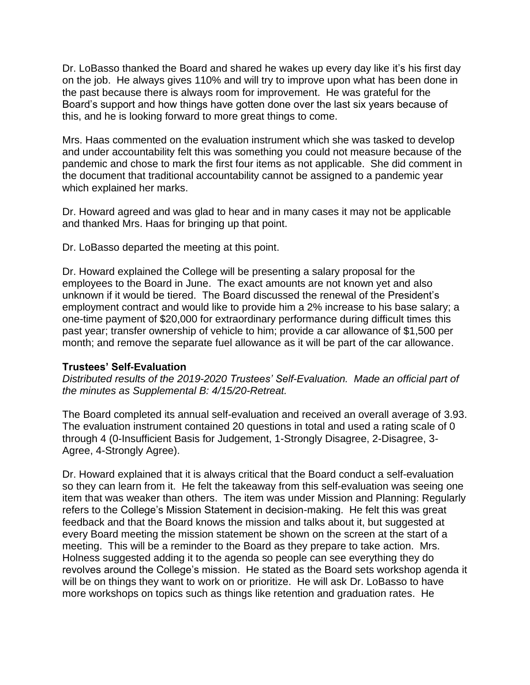Dr. LoBasso thanked the Board and shared he wakes up every day like it's his first day on the job. He always gives 110% and will try to improve upon what has been done in the past because there is always room for improvement. He was grateful for the Board's support and how things have gotten done over the last six years because of this, and he is looking forward to more great things to come.

Mrs. Haas commented on the evaluation instrument which she was tasked to develop and under accountability felt this was something you could not measure because of the pandemic and chose to mark the first four items as not applicable. She did comment in the document that traditional accountability cannot be assigned to a pandemic year which explained her marks.

Dr. Howard agreed and was glad to hear and in many cases it may not be applicable and thanked Mrs. Haas for bringing up that point.

Dr. LoBasso departed the meeting at this point.

Dr. Howard explained the College will be presenting a salary proposal for the employees to the Board in June. The exact amounts are not known yet and also unknown if it would be tiered. The Board discussed the renewal of the President's employment contract and would like to provide him a 2% increase to his base salary; a one-time payment of \$20,000 for extraordinary performance during difficult times this past year; transfer ownership of vehicle to him; provide a car allowance of \$1,500 per month; and remove the separate fuel allowance as it will be part of the car allowance.

## **Trustees' Self-Evaluation**

*Distributed results of the 2019-2020 Trustees' Self-Evaluation. Made an official part of the minutes as Supplemental B: 4/15/20-Retreat.* 

The Board completed its annual self-evaluation and received an overall average of 3.93. The evaluation instrument contained 20 questions in total and used a rating scale of 0 through 4 (0-Insufficient Basis for Judgement, 1-Strongly Disagree, 2-Disagree, 3- Agree, 4-Strongly Agree).

Dr. Howard explained that it is always critical that the Board conduct a self-evaluation so they can learn from it. He felt the takeaway from this self-evaluation was seeing one item that was weaker than others. The item was under Mission and Planning: Regularly refers to the College's Mission Statement in decision-making. He felt this was great feedback and that the Board knows the mission and talks about it, but suggested at every Board meeting the mission statement be shown on the screen at the start of a meeting. This will be a reminder to the Board as they prepare to take action. Mrs. Holness suggested adding it to the agenda so people can see everything they do revolves around the College's mission. He stated as the Board sets workshop agenda it will be on things they want to work on or prioritize. He will ask Dr. LoBasso to have more workshops on topics such as things like retention and graduation rates. He